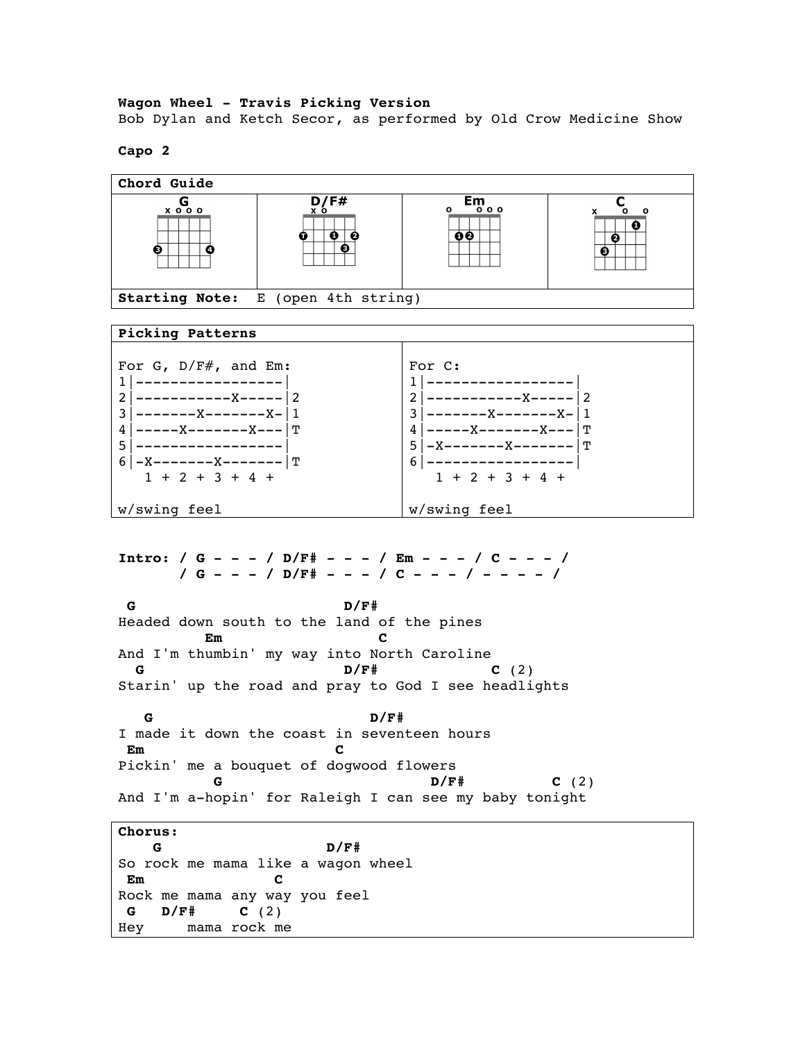**Wagon Wheel - Travis Picking Version** Bob Dylan and Ketch Secor, as performed by Old Crow Medicine Show

## **Capo 2**